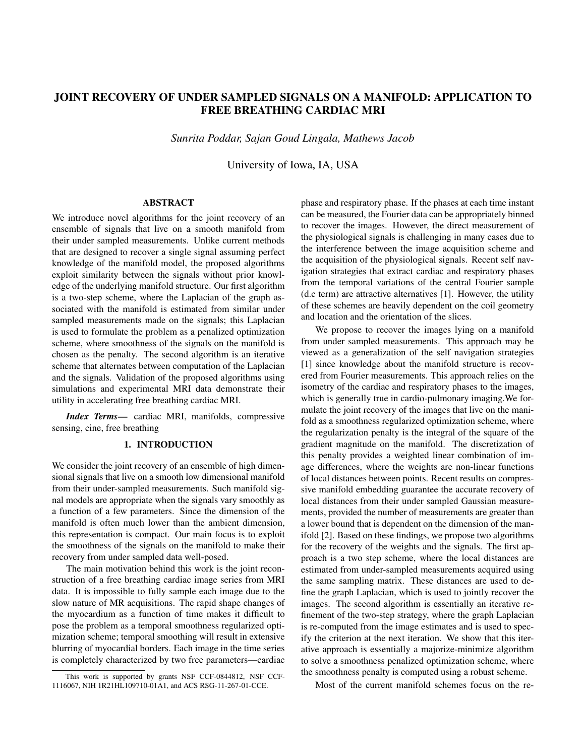# JOINT RECOVERY OF UNDER SAMPLED SIGNALS ON A MANIFOLD: APPLICATION TO FREE BREATHING CARDIAC MRI

*Sunrita Poddar, Sajan Goud Lingala, Mathews Jacob*

University of Iowa, IA, USA

### ABSTRACT

We introduce novel algorithms for the joint recovery of an ensemble of signals that live on a smooth manifold from their under sampled measurements. Unlike current methods that are designed to recover a single signal assuming perfect knowledge of the manifold model, the proposed algorithms exploit similarity between the signals without prior knowledge of the underlying manifold structure. Our first algorithm is a two-step scheme, where the Laplacian of the graph associated with the manifold is estimated from similar under sampled measurements made on the signals; this Laplacian is used to formulate the problem as a penalized optimization scheme, where smoothness of the signals on the manifold is chosen as the penalty. The second algorithm is an iterative scheme that alternates between computation of the Laplacian and the signals. Validation of the proposed algorithms using simulations and experimental MRI data demonstrate their utility in accelerating free breathing cardiac MRI.

*Index Terms*— cardiac MRI, manifolds, compressive sensing, cine, free breathing

# 1. INTRODUCTION

We consider the joint recovery of an ensemble of high dimensional signals that live on a smooth low dimensional manifold from their under-sampled measurements. Such manifold signal models are appropriate when the signals vary smoothly as a function of a few parameters. Since the dimension of the manifold is often much lower than the ambient dimension, this representation is compact. Our main focus is to exploit the smoothness of the signals on the manifold to make their recovery from under sampled data well-posed.

The main motivation behind this work is the joint reconstruction of a free breathing cardiac image series from MRI data. It is impossible to fully sample each image due to the slow nature of MR acquisitions. The rapid shape changes of the myocardium as a function of time makes it difficult to pose the problem as a temporal smoothness regularized optimization scheme; temporal smoothing will result in extensive blurring of myocardial borders. Each image in the time series is completely characterized by two free parameters—cardiac

phase and respiratory phase. If the phases at each time instant can be measured, the Fourier data can be appropriately binned to recover the images. However, the direct measurement of the physiological signals is challenging in many cases due to the interference between the image acquisition scheme and the acquisition of the physiological signals. Recent self navigation strategies that extract cardiac and respiratory phases from the temporal variations of the central Fourier sample (d.c term) are attractive alternatives [1]. However, the utility of these schemes are heavily dependent on the coil geometry and location and the orientation of the slices.

We propose to recover the images lying on a manifold from under sampled measurements. This approach may be viewed as a generalization of the self navigation strategies [1] since knowledge about the manifold structure is recovered from Fourier measurements. This approach relies on the isometry of the cardiac and respiratory phases to the images, which is generally true in cardio-pulmonary imaging.We formulate the joint recovery of the images that live on the manifold as a smoothness regularized optimization scheme, where the regularization penalty is the integral of the square of the gradient magnitude on the manifold. The discretization of this penalty provides a weighted linear combination of image differences, where the weights are non-linear functions of local distances between points. Recent results on compressive manifold embedding guarantee the accurate recovery of local distances from their under sampled Gaussian measurements, provided the number of measurements are greater than a lower bound that is dependent on the dimension of the manifold [2]. Based on these findings, we propose two algorithms for the recovery of the weights and the signals. The first approach is a two step scheme, where the local distances are estimated from under-sampled measurements acquired using the same sampling matrix. These distances are used to define the graph Laplacian, which is used to jointly recover the images. The second algorithm is essentially an iterative refinement of the two-step strategy, where the graph Laplacian is re-computed from the image estimates and is used to specify the criterion at the next iteration. We show that this iterative approach is essentially a majorize-minimize algorithm to solve a smoothness penalized optimization scheme, where the smoothness penalty is computed using a robust scheme.

Most of the current manifold schemes focus on the re-

This work is supported by grants NSF CCF-0844812, NSF CCF-1116067, NIH 1R21HL109710-01A1, and ACS RSG-11-267-01-CCE.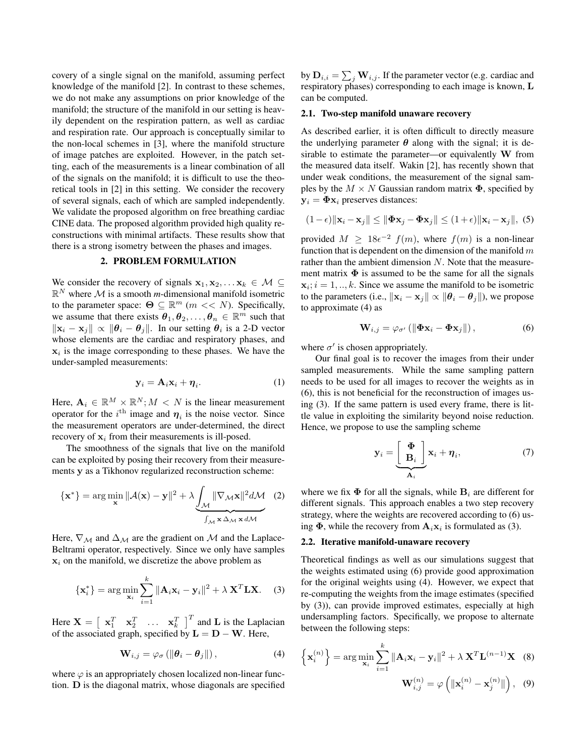covery of a single signal on the manifold, assuming perfect knowledge of the manifold [2]. In contrast to these schemes, we do not make any assumptions on prior knowledge of the manifold; the structure of the manifold in our setting is heavily dependent on the respiration pattern, as well as cardiac and respiration rate. Our approach is conceptually similar to the non-local schemes in [3], where the manifold structure of image patches are exploited. However, in the patch setting, each of the measurements is a linear combination of all of the signals on the manifold; it is difficult to use the theoretical tools in [2] in this setting. We consider the recovery of several signals, each of which are sampled independently. We validate the proposed algorithm on free breathing cardiac CINE data. The proposed algorithm provided high quality reconstructions with minimal artifacts. These results show that there is a strong isometry between the phases and images.

### 2. PROBLEM FORMULATION

We consider the recovery of signals  $x_1, x_2, \ldots x_k \in \mathcal{M} \subseteq$  $\mathbb{R}^N$  where M is a smooth *m*-dimensional manifold isometric to the parameter space:  $\Theta \subseteq \mathbb{R}^m$  ( $m \ll N$ ). Specifically, we assume that there exists  $\theta_1, \theta_2, \dots, \theta_n \in \mathbb{R}^m$  such that  $\|\mathbf{x}_i - \mathbf{x}_j\| \propto \|\boldsymbol{\theta}_i - \boldsymbol{\theta}_j\|$ . In our setting  $\boldsymbol{\theta}_i$  is a 2-D vector whose elements are the cardiac and respiratory phases, and  $x_i$  is the image corresponding to these phases. We have the under-sampled measurements:

$$
\mathbf{y}_i = \mathbf{A}_i \mathbf{x}_i + \boldsymbol{\eta}_i. \tag{1}
$$

Here,  $A_i \in \mathbb{R}^M \times \mathbb{R}^N$ ;  $M < N$  is the linear measurement operator for the  $i^{\text{th}}$  image and  $\eta_i$  is the noise vector. Since the measurement operators are under-determined, the direct recovery of  $x_i$  from their measurements is ill-posed.

The smoothness of the signals that live on the manifold can be exploited by posing their recovery from their measurements y as a Tikhonov regularized reconstruction scheme:

$$
\{\mathbf{x}^*\} = \arg\min_{\mathbf{x}} \|\mathcal{A}(\mathbf{x}) - \mathbf{y}\|^2 + \lambda \underbrace{\int_{\mathcal{M}} \|\nabla_{\mathcal{M}}\mathbf{x}\|^2 d\mathcal{M}}_{\int_{\mathcal{M}} \mathbf{x} \Delta_{\mathcal{M}} \mathbf{x} d\mathcal{M}} \quad (2)
$$

Here,  $\nabla_M$  and  $\Delta_M$  are the gradient on M and the Laplace-Beltrami operator, respectively. Since we only have samples  $x_i$  on the manifold, we discretize the above problem as

$$
\{\mathbf x_i^*\} = \arg\min_{\mathbf x_i} \sum_{i=1}^k \|\mathbf A_i \mathbf x_i - \mathbf y_i\|^2 + \lambda \mathbf X^T \mathbf L \mathbf X. \tag{3}
$$

Here  $\mathbf{X} = \begin{bmatrix} \mathbf{x}_1^T & \mathbf{x}_2^T & \dots & \mathbf{x}_k^T \end{bmatrix}^T$  and **L** is the Laplacian of the associated graph, specified by  $\mathbf{L} = \mathbf{D} - \mathbf{W}$ . Here,

$$
\mathbf{W}_{i,j} = \varphi_{\sigma} \left( \|\boldsymbol{\theta}_i - \boldsymbol{\theta}_j\| \right),\tag{4}
$$

where  $\varphi$  is an appropriately chosen localized non-linear function. D is the diagonal matrix, whose diagonals are specified

by  $\mathbf{D}_{i,i} = \sum_j \mathbf{W}_{i,j}.$  If the parameter vector (e.g. cardiac and respiratory phases) corresponding to each image is known, L can be computed.

# 2.1. Two-step manifold unaware recovery

As described earlier, it is often difficult to directly measure the underlying parameter  $\theta$  along with the signal; it is desirable to estimate the parameter—or equivalently  $W$  from the measured data itself. Wakin [2], has recently shown that under weak conditions, the measurement of the signal samples by the  $M \times N$  Gaussian random matrix  $\Phi$ , specified by  $y_i = \Phi x_i$  preserves distances:

$$
(1 - \epsilon) \|\mathbf{x}_i - \mathbf{x}_j\| \le \|\mathbf{\Phi}\mathbf{x}_j - \mathbf{\Phi}\mathbf{x}_j\| \le (1 + \epsilon) \|\mathbf{x}_i - \mathbf{x}_j\|, (5)
$$

provided  $M \geq 18\epsilon^{-2}$   $f(m)$ , where  $f(m)$  is a non-linear function that is dependent on the dimension of the manifold  $m$ rather than the ambient dimension N. Note that the measurement matrix  $\Phi$  is assumed to be the same for all the signals  $x_i$ ;  $i = 1, \ldots, k$ . Since we assume the manifold to be isometric to the parameters (i.e.,  $\|\mathbf{x}_i - \mathbf{x}_j\| \propto \|\boldsymbol{\theta}_i - \boldsymbol{\theta}_j\|$ ), we propose to approximate (4) as

$$
\mathbf{W}_{i,j} = \varphi_{\sigma'}\left(\left\|\mathbf{\Phi}\mathbf{x}_i - \mathbf{\Phi}\mathbf{x}_j\right\|\right),\tag{6}
$$

where  $\sigma'$  is chosen appropriately.

Our final goal is to recover the images from their under sampled measurements. While the same sampling pattern needs to be used for all images to recover the weights as in (6), this is not beneficial for the reconstruction of images using (3). If the same pattern is used every frame, there is little value in exploiting the similarity beyond noise reduction. Hence, we propose to use the sampling scheme

$$
\mathbf{y}_i = \underbrace{\begin{bmatrix} \Phi \\ \mathbf{B}_i \end{bmatrix}}_{\mathbf{A}_i} \mathbf{x}_i + \boldsymbol{\eta}_i, \tag{7}
$$

where we fix  $\Phi$  for all the signals, while  $B_i$  are different for different signals. This approach enables a two step recovery strategy, where the weights are recovered according to (6) using  $\Phi$ , while the recovery from  $\mathbf{A}_i \mathbf{x}_i$  is formulated as (3).

#### 2.2. Iterative manifold-unaware recovery

Theoretical findings as well as our simulations suggest that the weights estimated using (6) provide good approximation for the original weights using (4). However, we expect that re-computing the weights from the image estimates (specified by (3)), can provide improved estimates, especially at high undersampling factors. Specifically, we propose to alternate between the following steps:

$$
\left\{\mathbf{x}_{i}^{(n)}\right\} = \arg\min_{\mathbf{x}_{i}} \sum_{i=1}^{k} ||\mathbf{A}_{i}\mathbf{x}_{i} - \mathbf{y}_{i}||^{2} + \lambda \mathbf{X}^{T}\mathbf{L}^{(n-1)}\mathbf{X} \quad (8)
$$

$$
\mathbf{W}_{i,j}^{(n)} = \varphi\left(\|\mathbf{x}_{i}^{(n)} - \mathbf{x}_{j}^{(n)}\|\right), \quad (9)
$$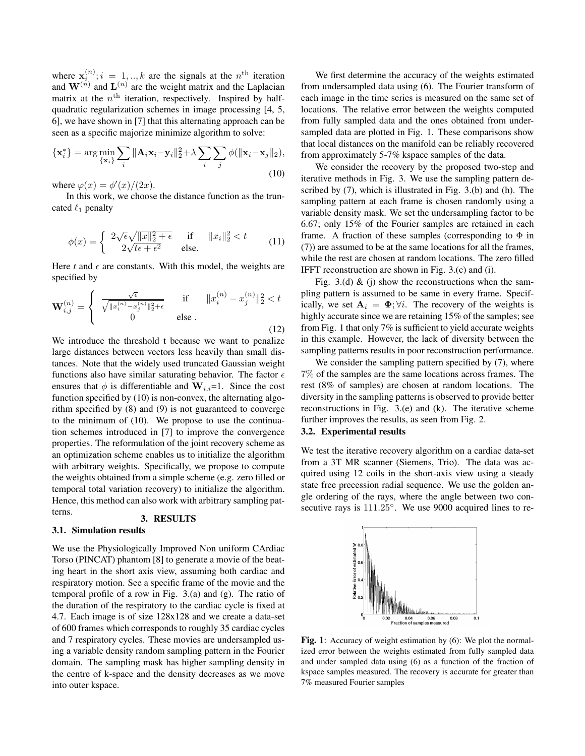where  $\mathbf{x}_i^{(n)}$ ;  $i = 1, \dots, k$  are the signals at the  $n^{\text{th}}$  iteration and  $\mathbf{W}^{(n)}$  and  $\mathbf{L}^{(n)}$  are the weight matrix and the Laplacian matrix at the  $n<sup>th</sup>$  iteration, respectively. Inspired by halfquadratic regularization schemes in image processing [4, 5, 6], we have shown in [7] that this alternating approach can be seen as a specific majorize minimize algorithm to solve:

$$
\{\mathbf x_i^*\} = \arg\min_{\{\mathbf x_i\}} \sum_i \|\mathbf A_i \mathbf x_i - \mathbf y_i\|_2^2 + \lambda \sum_i \sum_j \phi(\|\mathbf x_i - \mathbf x_j\|_2),
$$
\n(10)

where  $\varphi(x) = \phi'(x)/(2x)$ .

In this work, we choose the distance function as the truncated  $\ell_1$  penalty

$$
\phi(x) = \begin{cases} 2\sqrt{\epsilon}\sqrt{\|x\|_2^2 + \epsilon} & \text{if } \|x_i\|_2^2 < t \\ 2\sqrt{t\epsilon + \epsilon^2} & \text{else.} \end{cases}
$$
(11)

Here  $t$  and  $\epsilon$  are constants. With this model, the weights are specified by

$$
\mathbf{W}_{i,j}^{(n)} = \begin{cases} \n\frac{\sqrt{\epsilon}}{\sqrt{\|x_i^{(n)} - x_j^{(n)}\|_2^2 + \epsilon}} & \text{if} \qquad \|x_i^{(n)} - x_j^{(n)}\|_2^2 < t \\
0 & \text{else} \n\end{cases} \tag{12}
$$

We introduce the threshold t because we want to penalize large distances between vectors less heavily than small distances. Note that the widely used truncated Gaussian weight functions also have similar saturating behavior. The factor  $\epsilon$ ensures that  $\phi$  is differentiable and  $\mathbf{W}_{i,i}=1$ . Since the cost function specified by (10) is non-convex, the alternating algorithm specified by (8) and (9) is not guaranteed to converge to the minimum of (10). We propose to use the continuation schemes introduced in [7] to improve the convergence properties. The reformulation of the joint recovery scheme as an optimization scheme enables us to initialize the algorithm with arbitrary weights. Specifically, we propose to compute the weights obtained from a simple scheme (e.g. zero filled or temporal total variation recovery) to initialize the algorithm. Hence, this method can also work with arbitrary sampling patterns.

# 3. RESULTS

# 3.1. Simulation results

We use the Physiologically Improved Non uniform CArdiac Torso (PINCAT) phantom [8] to generate a movie of the beating heart in the short axis view, assuming both cardiac and respiratory motion. See a specific frame of the movie and the temporal profile of a row in Fig. 3.(a) and (g). The ratio of the duration of the respiratory to the cardiac cycle is fixed at 4.7. Each image is of size 128x128 and we create a data-set of 600 frames which corresponds to roughly 35 cardiac cycles and 7 respiratory cycles. These movies are undersampled using a variable density random sampling pattern in the Fourier domain. The sampling mask has higher sampling density in the centre of k-space and the density decreases as we move into outer kspace.

We first determine the accuracy of the weights estimated from undersampled data using (6). The Fourier transform of each image in the time series is measured on the same set of locations. The relative error between the weights computed from fully sampled data and the ones obtained from undersampled data are plotted in Fig. 1. These comparisons show that local distances on the manifold can be reliably recovered from approximately 5-7% kspace samples of the data.

We consider the recovery by the proposed two-step and iterative methods in Fig. 3. We use the sampling pattern described by (7), which is illustrated in Fig. 3.(b) and (h). The sampling pattern at each frame is chosen randomly using a variable density mask. We set the undersampling factor to be 6.67; only 15% of the Fourier samples are retained in each frame. A fraction of these samples (corresponding to  $\Phi$  in (7)) are assumed to be at the same locations for all the frames, while the rest are chosen at random locations. The zero filled IFFT reconstruction are shown in Fig. 3.(c) and (i).

Fig. 3.(d)  $\&$  (j) show the reconstructions when the sampling pattern is assumed to be same in every frame. Specifically, we set  $A_i = \Phi$ ;  $\forall i$ . The recovery of the weights is highly accurate since we are retaining 15% of the samples; see from Fig. 1 that only 7% is sufficient to yield accurate weights in this example. However, the lack of diversity between the sampling patterns results in poor reconstruction performance.

We consider the sampling pattern specified by  $(7)$ , where 7% of the samples are the same locations across frames. The rest (8% of samples) are chosen at random locations. The diversity in the sampling patterns is observed to provide better reconstructions in Fig. 3.(e) and (k). The iterative scheme further improves the results, as seen from Fig. 2.

# 3.2. Experimental results

We test the iterative recovery algorithm on a cardiac data-set from a 3T MR scanner (Siemens, Trio). The data was acquired using 12 coils in the short-axis view using a steady state free precession radial sequence. We use the golden angle ordering of the rays, where the angle between two consecutive rays is 111.25°. We use 9000 acquired lines to re-



Fig. 1: Accuracy of weight estimation by (6): We plot the normalized error between the weights estimated from fully sampled data and under sampled data using (6) as a function of the fraction of kspace samples measured. The recovery is accurate for greater than 7% measured Fourier samples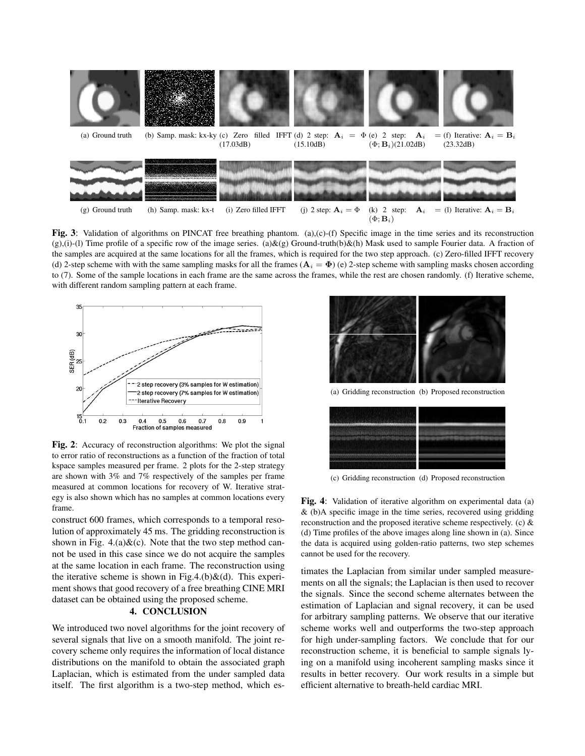

Fig. 3: Validation of algorithms on PINCAT free breathing phantom. (a),(c)-(f) Specific image in the time series and its reconstruction  $(g)$ ,(i)-(l) Time profile of a specific row of the image series. (a)&(g) Ground-truth(b)&(h) Mask used to sample Fourier data. A fraction of the samples are acquired at the same locations for all the frames, which is required for the two step approach. (c) Zero-filled IFFT recovery (d) 2-step scheme with with the same sampling masks for all the frames  $(A_i = \Phi)$  (e) 2-step scheme with sampling masks chosen according to (7). Some of the sample locations in each frame are the same across the frames, while the rest are chosen randomly. (f) Iterative scheme, with different random sampling pattern at each frame.





construct 600 frames, which corresponds to a temporal resolution of approximately 45 ms. The gridding reconstruction is shown in Fig.  $4.(a) \& (c)$ . Note that the two step method cannot be used in this case since we do not acquire the samples at the same location in each frame. The reconstruction using the iterative scheme is shown in Fig.4.(b) $\&$ (d). This experiment shows that good recovery of a free breathing CINE MRI dataset can be obtained using the proposed scheme.

#### 4. CONCLUSION

We introduced two novel algorithms for the joint recovery of several signals that live on a smooth manifold. The joint recovery scheme only requires the information of local distance distributions on the manifold to obtain the associated graph Laplacian, which is estimated from the under sampled data itself. The first algorithm is a two-step method, which es-



(a) Gridding reconstruction (b) Proposed reconstruction



(c) Gridding reconstruction (d) Proposed reconstruction

Fig. 4: Validation of iterative algorithm on experimental data (a) & (b)A specific image in the time series, recovered using gridding reconstruction and the proposed iterative scheme respectively. (c) & (d) Time profiles of the above images along line shown in (a). Since the data is acquired using golden-ratio patterns, two step schemes cannot be used for the recovery.

timates the Laplacian from similar under sampled measurements on all the signals; the Laplacian is then used to recover the signals. Since the second scheme alternates between the estimation of Laplacian and signal recovery, it can be used for arbitrary sampling patterns. We observe that our iterative scheme works well and outperforms the two-step approach for high under-sampling factors. We conclude that for our reconstruction scheme, it is beneficial to sample signals lying on a manifold using incoherent sampling masks since it results in better recovery. Our work results in a simple but efficient alternative to breath-held cardiac MRI.